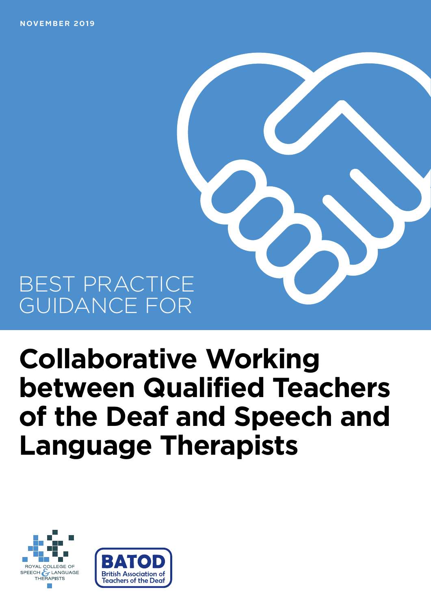**NOVEMBER 2019**

## BEST PRACTICE GUIDANCE FOR

# **Collaborative Working between Qualified Teachers of the Deaf and Speech and Language Therapists**



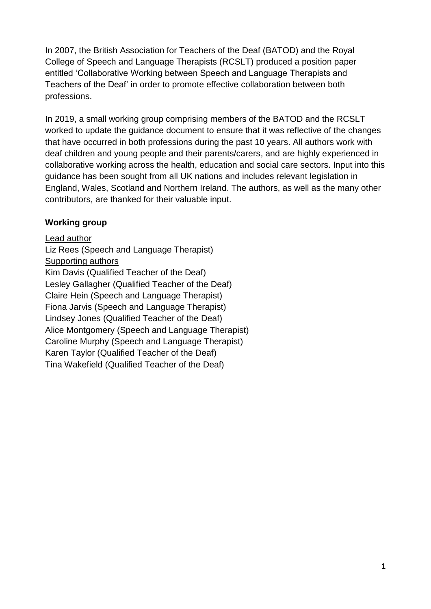In 2007, the British Association for Teachers of the Deaf (BATOD) and the Royal College of Speech and Language Therapists (RCSLT) produced a position paper entitled 'Collaborative Working between Speech and Language Therapists and Teachers of the Deaf' in order to promote effective collaboration between both professions.

In 2019, a small working group comprising members of the BATOD and the RCSLT worked to update the guidance document to ensure that it was reflective of the changes that have occurred in both professions during the past 10 years. All authors work with deaf children and young people and their parents/carers, and are highly experienced in collaborative working across the health, education and social care sectors. Input into this guidance has been sought from all UK nations and includes relevant legislation in England, Wales, Scotland and Northern Ireland. The authors, as well as the many other contributors, are thanked for their valuable input.

#### **Working group**

Lead author Liz Rees (Speech and Language Therapist) Supporting authors Kim Davis (Qualified Teacher of the Deaf) Lesley Gallagher (Qualified Teacher of the Deaf) Claire Hein (Speech and Language Therapist) Fiona Jarvis (Speech and Language Therapist) Lindsey Jones (Qualified Teacher of the Deaf) Alice Montgomery (Speech and Language Therapist) Caroline Murphy (Speech and Language Therapist) Karen Taylor (Qualified Teacher of the Deaf) Tina Wakefield (Qualified Teacher of the Deaf)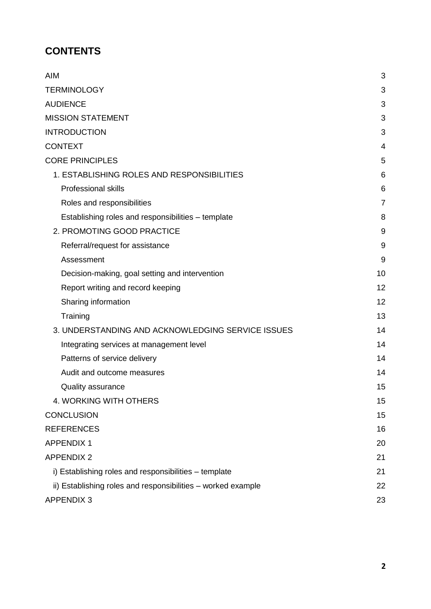## **CONTENTS**

| <b>AIM</b>                                                   | 3              |
|--------------------------------------------------------------|----------------|
| <b>TERMINOLOGY</b>                                           | 3              |
| <b>AUDIENCE</b>                                              | 3              |
| <b>MISSION STATEMENT</b>                                     | 3              |
| <b>INTRODUCTION</b>                                          | 3              |
| <b>CONTEXT</b>                                               | 4              |
| <b>CORE PRINCIPLES</b>                                       | 5              |
| 1. ESTABLISHING ROLES AND RESPONSIBILITIES                   | 6              |
| <b>Professional skills</b>                                   | 6              |
| Roles and responsibilities                                   | $\overline{7}$ |
| Establishing roles and responsibilities - template           | 8              |
| 2. PROMOTING GOOD PRACTICE                                   | 9              |
| Referral/request for assistance                              | 9              |
| Assessment                                                   | 9              |
| Decision-making, goal setting and intervention               | 10             |
| Report writing and record keeping                            | 12             |
| Sharing information                                          | 12             |
| Training                                                     | 13             |
| 3. UNDERSTANDING AND ACKNOWLEDGING SERVICE ISSUES            | 14             |
| Integrating services at management level                     | 14             |
| Patterns of service delivery                                 | 14             |
| Audit and outcome measures                                   | 14             |
| <b>Quality assurance</b>                                     | 15             |
| 4. WORKING WITH OTHERS                                       | 15             |
| <b>CONCLUSION</b>                                            | 15             |
| <b>REFERENCES</b>                                            | 16             |
| <b>APPENDIX 1</b>                                            | 20             |
| <b>APPENDIX 2</b>                                            | 21             |
| i) Establishing roles and responsibilities – template        | 21             |
| ii) Establishing roles and responsibilities - worked example | 22             |
| <b>APPENDIX 3</b>                                            | 23             |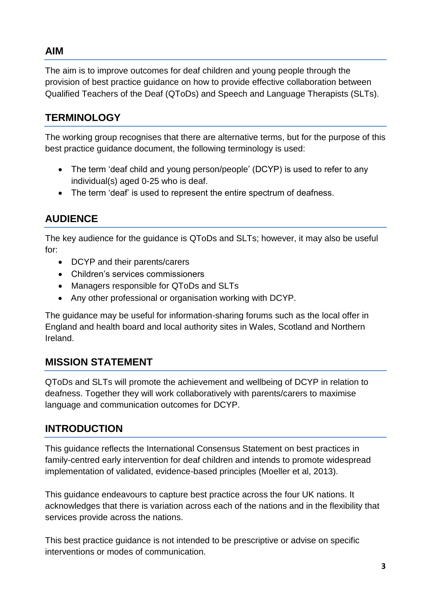## <span id="page-3-0"></span>**AIM**

The aim is to improve outcomes for deaf children and young people through the provision of best practice guidance on how to provide effective collaboration between Qualified Teachers of the Deaf (QToDs) and Speech and Language Therapists (SLTs).

## <span id="page-3-1"></span>**TERMINOLOGY**

The working group recognises that there are alternative terms, but for the purpose of this best practice guidance document, the following terminology is used:

- The term 'deaf child and young person/people' (DCYP) is used to refer to any individual(s) aged 0-25 who is deaf.
- The term 'deaf' is used to represent the entire spectrum of deafness.

## <span id="page-3-2"></span>**AUDIENCE**

The key audience for the guidance is QToDs and SLTs; however, it may also be useful for:

- DCYP and their parents/carers
- Children's services commissioners
- Managers responsible for QToDs and SLTs
- Any other professional or organisation working with DCYP.

The guidance may be useful for information-sharing forums such as the local offer in England and health board and local authority sites in Wales, Scotland and Northern Ireland.

## <span id="page-3-3"></span>**MISSION STATEMENT**

QToDs and SLTs will promote the achievement and wellbeing of DCYP in relation to deafness. Together they will work collaboratively with parents/carers to maximise language and communication outcomes for DCYP.

## <span id="page-3-4"></span>**INTRODUCTION**

This guidance reflects the International Consensus Statement on best practices in family-centred early intervention for deaf children and intends to promote widespread implementation of validated, evidence-based principles (Moeller et al, 2013).

This guidance endeavours to capture best practice across the four UK nations. It acknowledges that there is variation across each of the nations and in the flexibility that services provide across the nations.

This best practice guidance is not intended to be prescriptive or advise on specific interventions or modes of communication.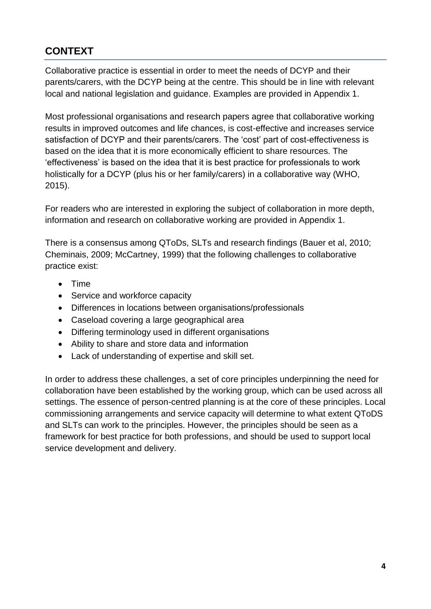## <span id="page-4-0"></span>**CONTEXT**

Collaborative practice is essential in order to meet the needs of DCYP and their parents/carers, with the DCYP being at the centre. This should be in line with relevant local and national legislation and guidance. Examples are provided in Appendix 1.

Most professional organisations and research papers agree that collaborative working results in improved outcomes and life chances, is cost-effective and increases service satisfaction of DCYP and their parents/carers. The 'cost' part of cost-effectiveness is based on the idea that it is more economically efficient to share resources. The 'effectiveness' is based on the idea that it is best practice for professionals to work holistically for a DCYP (plus his or her family/carers) in a collaborative way (WHO, 2015).

For readers who are interested in exploring the subject of collaboration in more depth, information and research on collaborative working are provided in Appendix 1.

There is a consensus among QToDs, SLTs and research findings (Bauer et al, 2010; Cheminais, 2009; McCartney, 1999) that the following challenges to collaborative practice exist:

- Time
- Service and workforce capacity
- Differences in locations between organisations/professionals
- Caseload covering a large geographical area
- Differing terminology used in different organisations
- Ability to share and store data and information
- Lack of understanding of expertise and skill set.

In order to address these challenges, a set of core principles underpinning the need for collaboration have been established by the working group, which can be used across all settings. The essence of person-centred planning is at the core of these principles. Local commissioning arrangements and service capacity will determine to what extent QToDS and SLTs can work to the principles. However, the principles should be seen as a framework for best practice for both professions, and should be used to support local service development and delivery.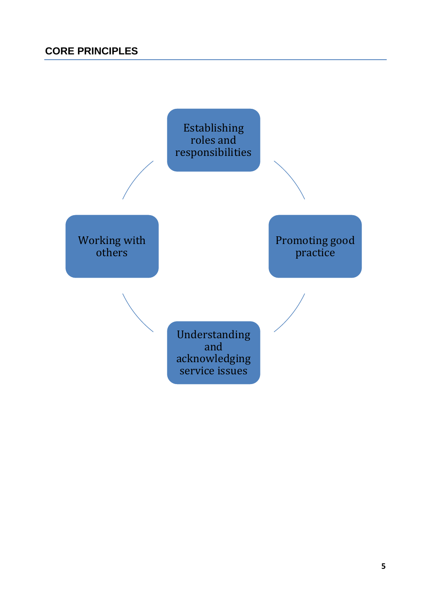<span id="page-5-0"></span>Establishing roles and responsibilities

Working with others

Promoting good practice

Understanding and acknowledging service issues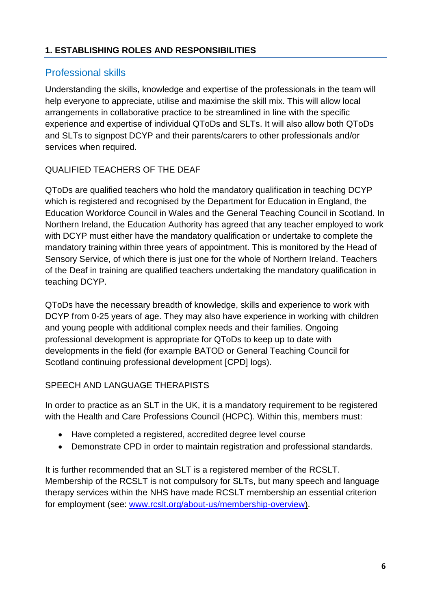#### <span id="page-6-0"></span>**1. ESTABLISHING ROLES AND RESPONSIBILITIES**

## <span id="page-6-1"></span>Professional skills

Understanding the skills, knowledge and expertise of the professionals in the team will help everyone to appreciate, utilise and maximise the skill mix. This will allow local arrangements in collaborative practice to be streamlined in line with the specific experience and expertise of individual QToDs and SLTs. It will also allow both QToDs and SLTs to signpost DCYP and their parents/carers to other professionals and/or services when required.

#### QUALIFIED TEACHERS OF THE DEAF

QToDs are qualified teachers who hold the mandatory qualification in teaching DCYP which is registered and recognised by the Department for Education in England, the Education Workforce Council in Wales and the General Teaching Council in Scotland. In Northern Ireland, the Education Authority has agreed that any teacher employed to work with DCYP must either have the mandatory qualification or undertake to complete the mandatory training within three years of appointment. This is monitored by the Head of Sensory Service, of which there is just one for the whole of Northern Ireland. Teachers of the Deaf in training are qualified teachers undertaking the mandatory qualification in teaching DCYP.

QToDs have the necessary breadth of knowledge, skills and experience to work with DCYP from 0-25 years of age. They may also have experience in working with children and young people with additional complex needs and their families. Ongoing professional development is appropriate for QToDs to keep up to date with developments in the field (for example BATOD or General Teaching Council for Scotland continuing professional development [CPD] logs).

#### SPEECH AND LANGUAGE THERAPISTS

In order to practice as an SLT in the UK, it is a mandatory requirement to be registered with the Health and Care Professions Council (HCPC). Within this, members must:

- Have completed a registered, accredited degree level course
- Demonstrate CPD in order to maintain registration and professional standards.

It is further recommended that an SLT is a registered member of the RCSLT. Membership of the RCSLT is not compulsory for SLTs, but many speech and language therapy services within the NHS have made RCSLT membership an essential criterion for employment (see: [www.rcslt.org/about-us/membership-overview\)](http://www.rcslt.org/about-us/membership-overview).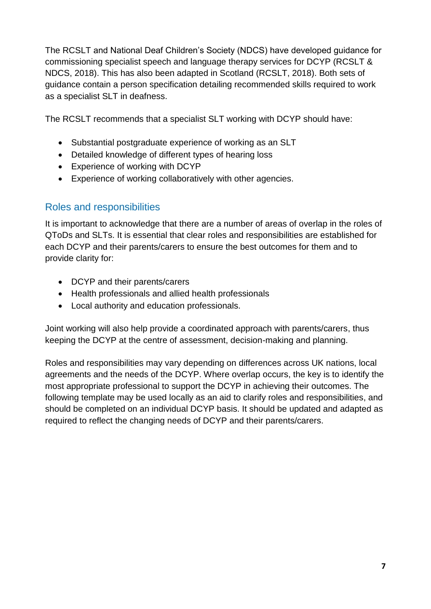The RCSLT and National Deaf Children's Society (NDCS) have developed guidance for commissioning specialist speech and language therapy services for DCYP (RCSLT & NDCS, 2018). This has also been adapted in Scotland (RCSLT, 2018). Both sets of guidance contain a person specification detailing recommended skills required to work as a specialist SLT in deafness.

The RCSLT recommends that a specialist SLT working with DCYP should have:

- Substantial postgraduate experience of working as an SLT
- Detailed knowledge of different types of hearing loss
- Experience of working with DCYP
- Experience of working collaboratively with other agencies.

## <span id="page-7-0"></span>Roles and responsibilities

It is important to acknowledge that there are a number of areas of overlap in the roles of QToDs and SLTs. It is essential that clear roles and responsibilities are established for each DCYP and their parents/carers to ensure the best outcomes for them and to provide clarity for:

- DCYP and their parents/carers
- Health professionals and allied health professionals
- Local authority and education professionals.

Joint working will also help provide a coordinated approach with parents/carers, thus keeping the DCYP at the centre of assessment, decision-making and planning.

Roles and responsibilities may vary depending on differences across UK nations, local agreements and the needs of the DCYP. Where overlap occurs, the key is to identify the most appropriate professional to support the DCYP in achieving their outcomes. The following template may be used locally as an aid to clarify roles and responsibilities, and should be completed on an individual DCYP basis. It should be updated and adapted as required to reflect the changing needs of DCYP and their parents/carers.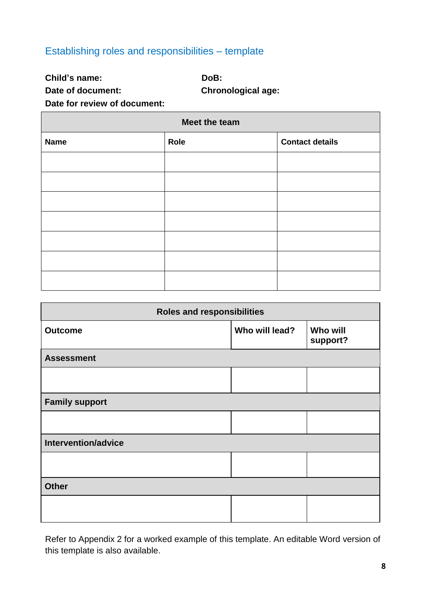## <span id="page-8-0"></span>Establishing roles and responsibilities – template

**Child's name: DoB:**

**Date of document: Chronological age:**

**Date for review of document:**

| Meet the team |      |                        |
|---------------|------|------------------------|
| <b>Name</b>   | Role | <b>Contact details</b> |
|               |      |                        |
|               |      |                        |
|               |      |                        |
|               |      |                        |
|               |      |                        |
|               |      |                        |
|               |      |                        |

| <b>Roles and responsibilities</b> |                |                             |
|-----------------------------------|----------------|-----------------------------|
| <b>Outcome</b>                    | Who will lead? | <b>Who will</b><br>support? |
| <b>Assessment</b>                 |                |                             |
|                                   |                |                             |
| <b>Family support</b>             |                |                             |
|                                   |                |                             |
| Intervention/advice               |                |                             |
|                                   |                |                             |
| <b>Other</b>                      |                |                             |
|                                   |                |                             |

Refer to Appendix 2 for a worked example of this template. An editable Word version of this template is also available.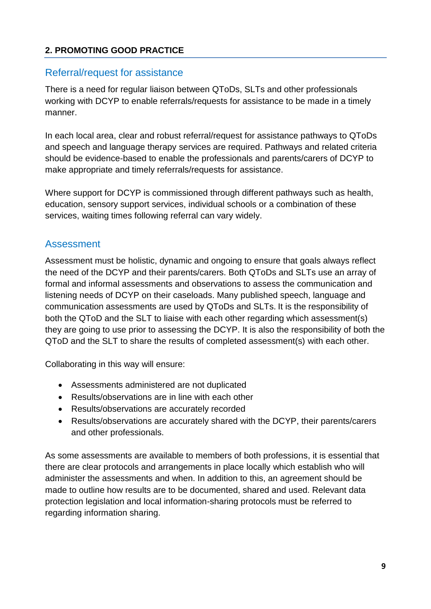#### <span id="page-9-0"></span>**2. PROMOTING GOOD PRACTICE**

#### <span id="page-9-1"></span>Referral/request for assistance

There is a need for regular liaison between QToDs, SLTs and other professionals working with DCYP to enable referrals/requests for assistance to be made in a timely manner.

In each local area, clear and robust referral/request for assistance pathways to QToDs and speech and language therapy services are required. Pathways and related criteria should be evidence-based to enable the professionals and parents/carers of DCYP to make appropriate and timely referrals/requests for assistance.

Where support for DCYP is commissioned through different pathways such as health, education, sensory support services, individual schools or a combination of these services, waiting times following referral can vary widely.

#### <span id="page-9-2"></span>Assessment

Assessment must be holistic, dynamic and ongoing to ensure that goals always reflect the need of the DCYP and their parents/carers. Both QToDs and SLTs use an array of formal and informal assessments and observations to assess the communication and listening needs of DCYP on their caseloads. Many published speech, language and communication assessments are used by QToDs and SLTs. It is the responsibility of both the QToD and the SLT to liaise with each other regarding which assessment(s) they are going to use prior to assessing the DCYP. It is also the responsibility of both the QToD and the SLT to share the results of completed assessment(s) with each other.

Collaborating in this way will ensure:

- Assessments administered are not duplicated
- Results/observations are in line with each other
- Results/observations are accurately recorded
- Results/observations are accurately shared with the DCYP, their parents/carers and other professionals.

As some assessments are available to members of both professions, it is essential that there are clear protocols and arrangements in place locally which establish who will administer the assessments and when. In addition to this, an agreement should be made to outline how results are to be documented, shared and used. Relevant data protection legislation and local information-sharing protocols must be referred to regarding information sharing.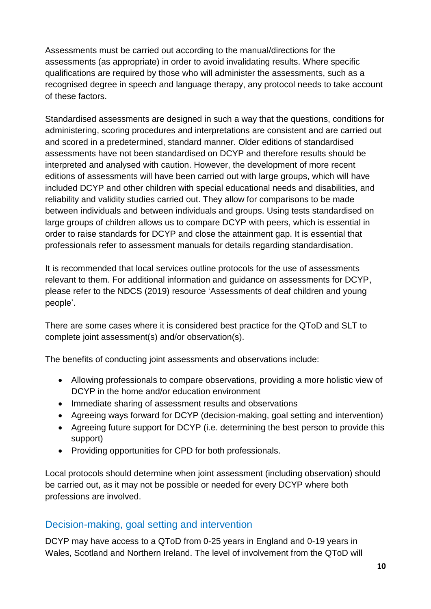Assessments must be carried out according to the manual/directions for the assessments (as appropriate) in order to avoid invalidating results. Where specific qualifications are required by those who will administer the assessments, such as a recognised degree in speech and language therapy, any protocol needs to take account of these factors.

Standardised assessments are designed in such a way that the questions, conditions for administering, scoring procedures and interpretations are consistent and are carried out and scored in a predetermined, standard manner. Older editions of standardised assessments have not been standardised on DCYP and therefore results should be interpreted and analysed with caution. However, the development of more recent editions of assessments will have been carried out with large groups, which will have included DCYP and other children with special educational needs and disabilities, and reliability and validity studies carried out. They allow for comparisons to be made between individuals and between individuals and groups. Using tests standardised on large groups of children allows us to compare DCYP with peers, which is essential in order to raise standards for DCYP and close the attainment gap. It is essential that professionals refer to assessment manuals for details regarding standardisation.

It is recommended that local services outline protocols for the use of assessments relevant to them. For additional information and guidance on assessments for DCYP, please refer to the NDCS (2019) resource 'Assessments of deaf children and young people'.

There are some cases where it is considered best practice for the QToD and SLT to complete joint assessment(s) and/or observation(s).

The benefits of conducting joint assessments and observations include:

- Allowing professionals to compare observations, providing a more holistic view of DCYP in the home and/or education environment
- Immediate sharing of assessment results and observations
- Agreeing ways forward for DCYP (decision-making, goal setting and intervention)
- Agreeing future support for DCYP (i.e. determining the best person to provide this support)
- Providing opportunities for CPD for both professionals.

Local protocols should determine when joint assessment (including observation) should be carried out, as it may not be possible or needed for every DCYP where both professions are involved.

## <span id="page-10-0"></span>Decision-making, goal setting and intervention

DCYP may have access to a QToD from 0-25 years in England and 0-19 years in Wales, Scotland and Northern Ireland. The level of involvement from the QToD will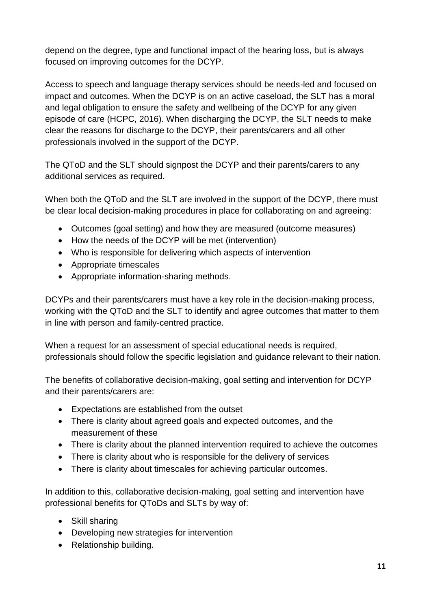depend on the degree, type and functional impact of the hearing loss, but is always focused on improving outcomes for the DCYP.

Access to speech and language therapy services should be needs-led and focused on impact and outcomes. When the DCYP is on an active caseload, the SLT has a moral and legal obligation to ensure the safety and wellbeing of the DCYP for any given episode of care (HCPC, 2016). When discharging the DCYP, the SLT needs to make clear the reasons for discharge to the DCYP, their parents/carers and all other professionals involved in the support of the DCYP.

The QToD and the SLT should signpost the DCYP and their parents/carers to any additional services as required.

When both the QToD and the SLT are involved in the support of the DCYP, there must be clear local decision-making procedures in place for collaborating on and agreeing:

- Outcomes (goal setting) and how they are measured (outcome measures)
- How the needs of the DCYP will be met (intervention)
- Who is responsible for delivering which aspects of intervention
- Appropriate timescales
- Appropriate information-sharing methods.

DCYPs and their parents/carers must have a key role in the decision-making process, working with the QToD and the SLT to identify and agree outcomes that matter to them in line with person and family-centred practice.

When a request for an assessment of special educational needs is required, professionals should follow the specific legislation and guidance relevant to their nation.

The benefits of collaborative decision-making, goal setting and intervention for DCYP and their parents/carers are:

- Expectations are established from the outset
- There is clarity about agreed goals and expected outcomes, and the measurement of these
- There is clarity about the planned intervention required to achieve the outcomes
- There is clarity about who is responsible for the delivery of services
- There is clarity about timescales for achieving particular outcomes.

In addition to this, collaborative decision-making, goal setting and intervention have professional benefits for QToDs and SLTs by way of:

- Skill sharing
- Developing new strategies for intervention
- Relationship building.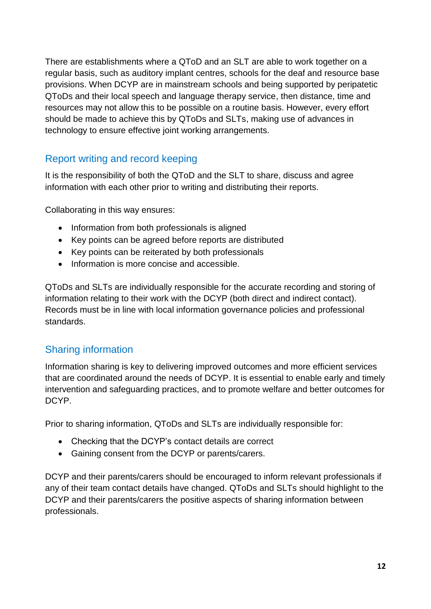There are establishments where a QToD and an SLT are able to work together on a regular basis, such as auditory implant centres, schools for the deaf and resource base provisions. When DCYP are in mainstream schools and being supported by peripatetic QToDs and their local speech and language therapy service, then distance, time and resources may not allow this to be possible on a routine basis. However, every effort should be made to achieve this by QToDs and SLTs, making use of advances in technology to ensure effective joint working arrangements.

## <span id="page-12-0"></span>Report writing and record keeping

It is the responsibility of both the QToD and the SLT to share, discuss and agree information with each other prior to writing and distributing their reports.

Collaborating in this way ensures:

- Information from both professionals is aligned
- Key points can be agreed before reports are distributed
- Key points can be reiterated by both professionals
- Information is more concise and accessible.

QToDs and SLTs are individually responsible for the accurate recording and storing of information relating to their work with the DCYP (both direct and indirect contact). Records must be in line with local information governance policies and professional standards.

## <span id="page-12-1"></span>Sharing information

Information sharing is key to delivering improved outcomes and more efficient services that are coordinated around the needs of DCYP. It is essential to enable early and timely intervention and safeguarding practices, and to promote welfare and better outcomes for DCYP.

Prior to sharing information, QToDs and SLTs are individually responsible for:

- Checking that the DCYP's contact details are correct
- Gaining consent from the DCYP or parents/carers.

DCYP and their parents/carers should be encouraged to inform relevant professionals if any of their team contact details have changed. QToDs and SLTs should highlight to the DCYP and their parents/carers the positive aspects of sharing information between professionals.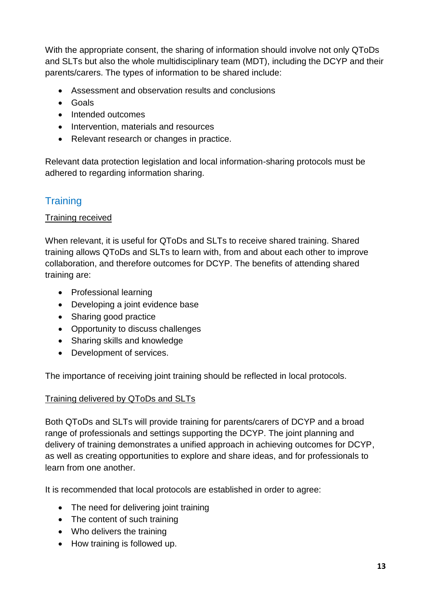With the appropriate consent, the sharing of information should involve not only QToDs and SLTs but also the whole multidisciplinary team (MDT), including the DCYP and their parents/carers. The types of information to be shared include:

- Assessment and observation results and conclusions
- Goals
- Intended outcomes
- Intervention, materials and resources
- Relevant research or changes in practice.

Relevant data protection legislation and local information-sharing protocols must be adhered to regarding information sharing.

## <span id="page-13-0"></span>**Training**

#### Training received

When relevant, it is useful for QToDs and SLTs to receive shared training. Shared training allows QToDs and SLTs to learn with, from and about each other to improve collaboration, and therefore outcomes for DCYP. The benefits of attending shared training are:

- Professional learning
- Developing a joint evidence base
- Sharing good practice
- Opportunity to discuss challenges
- Sharing skills and knowledge
- Development of services.

The importance of receiving joint training should be reflected in local protocols.

#### Training delivered by QToDs and SLTs

Both QToDs and SLTs will provide training for parents/carers of DCYP and a broad range of professionals and settings supporting the DCYP. The joint planning and delivery of training demonstrates a unified approach in achieving outcomes for DCYP, as well as creating opportunities to explore and share ideas, and for professionals to learn from one another.

It is recommended that local protocols are established in order to agree:

- The need for delivering joint training
- The content of such training
- Who delivers the training
- How training is followed up.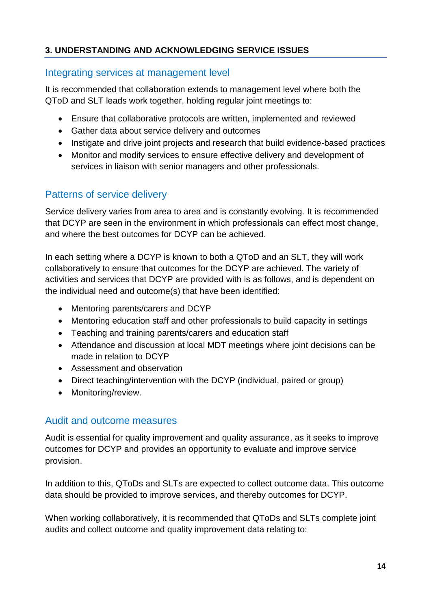#### <span id="page-14-0"></span>**3. UNDERSTANDING AND ACKNOWLEDGING SERVICE ISSUES**

#### <span id="page-14-1"></span>Integrating services at management level

It is recommended that collaboration extends to management level where both the QToD and SLT leads work together, holding regular joint meetings to:

- Ensure that collaborative protocols are written, implemented and reviewed
- Gather data about service delivery and outcomes
- Instigate and drive joint projects and research that build evidence-based practices
- Monitor and modify services to ensure effective delivery and development of services in liaison with senior managers and other professionals.

## <span id="page-14-2"></span>Patterns of service delivery

Service delivery varies from area to area and is constantly evolving. It is recommended that DCYP are seen in the environment in which professionals can effect most change, and where the best outcomes for DCYP can be achieved.

In each setting where a DCYP is known to both a QToD and an SLT, they will work collaboratively to ensure that outcomes for the DCYP are achieved. The variety of activities and services that DCYP are provided with is as follows, and is dependent on the individual need and outcome(s) that have been identified:

- Mentoring parents/carers and DCYP
- Mentoring education staff and other professionals to build capacity in settings
- Teaching and training parents/carers and education staff
- Attendance and discussion at local MDT meetings where joint decisions can be made in relation to DCYP
- Assessment and observation
- Direct teaching/intervention with the DCYP (individual, paired or group)
- Monitoring/review.

## <span id="page-14-3"></span>Audit and outcome measures

Audit is essential for quality improvement and quality assurance, as it seeks to improve outcomes for DCYP and provides an opportunity to evaluate and improve service provision.

In addition to this, QToDs and SLTs are expected to collect outcome data. This outcome data should be provided to improve services, and thereby outcomes for DCYP.

When working collaboratively, it is recommended that QToDs and SLTs complete joint audits and collect outcome and quality improvement data relating to: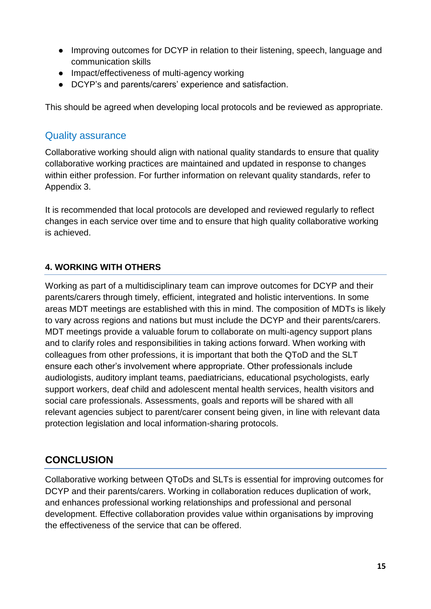- Improving outcomes for DCYP in relation to their listening, speech, language and communication skills
- Impact/effectiveness of multi-agency working
- DCYP's and parents/carers' experience and satisfaction.

This should be agreed when developing local protocols and be reviewed as appropriate.

## <span id="page-15-0"></span>Quality assurance

Collaborative working should align with national quality standards to ensure that quality collaborative working practices are maintained and updated in response to changes within either profession. For further information on relevant quality standards, refer to Appendix 3.

It is recommended that local protocols are developed and reviewed regularly to reflect changes in each service over time and to ensure that high quality collaborative working is achieved.

## <span id="page-15-1"></span>**4. WORKING WITH OTHERS**

Working as part of a multidisciplinary team can improve outcomes for DCYP and their parents/carers through timely, efficient, integrated and holistic interventions. In some areas MDT meetings are established with this in mind. The composition of MDTs is likely to vary across regions and nations but must include the DCYP and their parents/carers. MDT meetings provide a valuable forum to collaborate on multi-agency support plans and to clarify roles and responsibilities in taking actions forward. When working with colleagues from other professions, it is important that both the QToD and the SLT ensure each other's involvement where appropriate. Other professionals include audiologists, auditory implant teams, paediatricians, educational psychologists, early support workers, deaf child and adolescent mental health services, health visitors and social care professionals. Assessments, goals and reports will be shared with all relevant agencies subject to parent/carer consent being given, in line with relevant data protection legislation and local information-sharing protocols.

## <span id="page-15-2"></span>**CONCLUSION**

Collaborative working between QToDs and SLTs is essential for improving outcomes for DCYP and their parents/carers. Working in collaboration reduces duplication of work, and enhances professional working relationships and professional and personal development. Effective collaboration provides value within organisations by improving the effectiveness of the service that can be offered.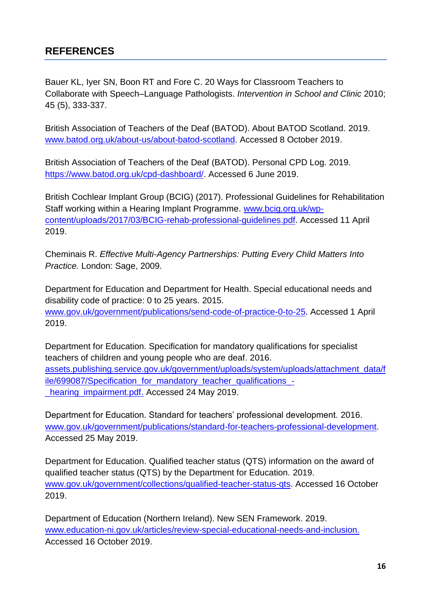## <span id="page-16-0"></span>**REFERENCES**

Bauer KL, Iyer SN, Boon RT and Fore C. 20 Ways for Classroom Teachers to Collaborate with Speech–Language Pathologists. *Intervention in School and Clinic* 2010; 45 (5), 333-337.

British Association of Teachers of the Deaf (BATOD). About BATOD Scotland. 2019. [www.batod.org.uk/about-us/about-batod-scotland.](http://www.batod.org.uk/about-us/about-batod-scotland/) Accessed 8 October 2019.

British Association of Teachers of the Deaf (BATOD). Personal CPD Log. 2019. https://www.batod.org.uk/cpd-dashboard/. Accessed 6 June 2019.

British Cochlear Implant Group (BCIG) (2017). Professional Guidelines for Rehabilitation Staff working within a Hearing Implant Programme. [www.bcig.org.uk/wp](http://www.bcig.org.uk/wp-content/uploads/2017/03/BCIG-rehab-professional-guidelines.pdf)[content/uploads/2017/03/BCIG-rehab-professional-guidelines.pdf.](http://www.bcig.org.uk/wp-content/uploads/2017/03/BCIG-rehab-professional-guidelines.pdf) Accessed 11 April 2019.

Cheminais R. *Effective Multi-Agency Partnerships: Putting Every Child Matters Into Practice.* London: Sage, 2009.

Department for Education and Department for Health. Special educational needs and disability code of practice: 0 to 25 years. 2015. [www.gov.uk/government/publications/send-code-of-practice-0-to-25.](http://www.gov.uk/government/publications/send-code-of-practice-0-to-25) Accessed 1 April 2019.

Department for Education. Specification for mandatory qualifications for specialist teachers of children and young people who are deaf. 2016. [assets.publishing.service.gov.uk/government/uploads/system/uploads/attachment\\_data/f](https://assets.publishing.service.gov.uk/government/uploads/system/uploads/attachment_data/file/699087/Specification_for_mandatory_teacher_qualifications_-_hearing_impairment.pdf) [ile/699087/Specification\\_for\\_mandatory\\_teacher\\_qualifications\\_-](https://assets.publishing.service.gov.uk/government/uploads/system/uploads/attachment_data/file/699087/Specification_for_mandatory_teacher_qualifications_-_hearing_impairment.pdf) [\\_hearing\\_impairment.pdf.](https://assets.publishing.service.gov.uk/government/uploads/system/uploads/attachment_data/file/699087/Specification_for_mandatory_teacher_qualifications_-_hearing_impairment.pdf) Accessed 24 May 2019.

Department for Education. Standard for teachers' professional development. 2016. [www.gov.uk/government/publications/standard-for-teachers-professional-development.](http://www.gov.uk/government/publications/standard-for-teachers-professional-development) Accessed 25 May 2019.

Department for Education. Qualified teacher status (QTS) information on the award of qualified teacher status (QTS) by the Department for Education. 2019. [www.gov.uk/government/collections/qualified-teacher-status-qts.](http://www.gov.uk/government/collections/qualified-teacher-status-qts) Accessed 16 October 2019.

Department of Education (Northern Ireland). New SEN Framework. 2019. [www.education-ni.gov.uk/articles/review-special-educational-needs-and-inclusion.](https://www.education-ni.gov.uk/articles/review-special-educational-needs-and-inclusion) Accessed 16 October 2019.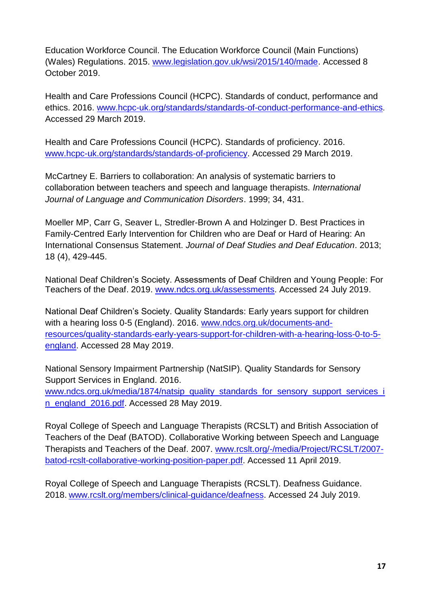Education Workforce Council. The Education Workforce Council (Main Functions) (Wales) Regulations. 2015. [www.legislation.gov.uk/wsi/2015/140/made.](http://www.legislation.gov.uk/wsi/2015/140/made) Accessed 8 October 2019.

Health and Care Professions Council (HCPC). Standards of conduct, performance and ethics. 2016. [www.hcpc-uk.org/standards/standards-of-conduct-performance-and-ethics](https://www.hcpc-uk.org/standards/standards-of-conduct-performance-and-ethics/). Accessed 29 March 2019.

Health and Care Professions Council (HCPC). Standards of proficiency. 2016. [www.hcpc-uk.org/standards/standards-of-proficiency.](http://www.hcpc-uk.org/standards/standards-of-proficiency) Accessed 29 March 2019.

McCartney E. Barriers to collaboration: An analysis of systematic barriers to collaboration between teachers and speech and language therapists. *International Journal of Language and Communication Disorders*. 1999; 34, 431.

Moeller MP, Carr G, Seaver L, Stredler-Brown A and Holzinger D. Best Practices in Family-Centred Early Intervention for Children who are Deaf or Hard of Hearing: An International Consensus Statement. *Journal of Deaf Studies and Deaf Education*. 2013; 18 (4), 429-445.

National Deaf Children's Society. Assessments of Deaf Children and Young People: For Teachers of the Deaf. 2019. [www.ndcs.org.uk/assessments.](http://www.ndcs.org.uk/assessments) Accessed 24 July 2019.

National Deaf Children's Society. Quality Standards: Early years support for children with a hearing loss 0-5 (England). 2016. [www.ndcs.org.uk/documents-and](http://www.ndcs.org.uk/documents-and-resources/quality-standards-early-years-support-for-children-with-a-hearing-loss-0-to-5-england/)[resources/quality-standards-early-years-support-for-children-with-a-hearing-loss-0-to-5](http://www.ndcs.org.uk/documents-and-resources/quality-standards-early-years-support-for-children-with-a-hearing-loss-0-to-5-england/) [england.](http://www.ndcs.org.uk/documents-and-resources/quality-standards-early-years-support-for-children-with-a-hearing-loss-0-to-5-england/) Accessed 28 May 2019.

National Sensory Impairment Partnership (NatSIP). Quality Standards for Sensory Support Services in England. 2016. [www.ndcs.org.uk/media/1874/natsip\\_quality\\_standards\\_for\\_sensory\\_support\\_services\\_i](http://www.ndcs.org.uk/media/1874/natsip_quality_standards_for_sensory_support_services_in_england_2016.pdf) [n\\_england\\_2016.pdf.](http://www.ndcs.org.uk/media/1874/natsip_quality_standards_for_sensory_support_services_in_england_2016.pdf) Accessed 28 May 2019.

Royal College of Speech and Language Therapists (RCSLT) and British Association of Teachers of the Deaf (BATOD). Collaborative Working between Speech and Language Therapists and Teachers of the Deaf. 2007. [www.rcslt.org/-/media/Project/RCSLT/2007](http://www.rcslt.org/-/media/Project/RCSLT/2007-batod-rcslt-collaborative-working-position-paper.pdf) [batod-rcslt-collaborative-working-position-paper.pdf.](http://www.rcslt.org/-/media/Project/RCSLT/2007-batod-rcslt-collaborative-working-position-paper.pdf) Accessed 11 April 2019.

Royal College of Speech and Language Therapists (RCSLT). Deafness Guidance. 2018. [www.rcslt.org/members/clinical-guidance/deafness.](http://www.rcslt.org/members/clinical-guidance/deafness) Accessed 24 July 2019.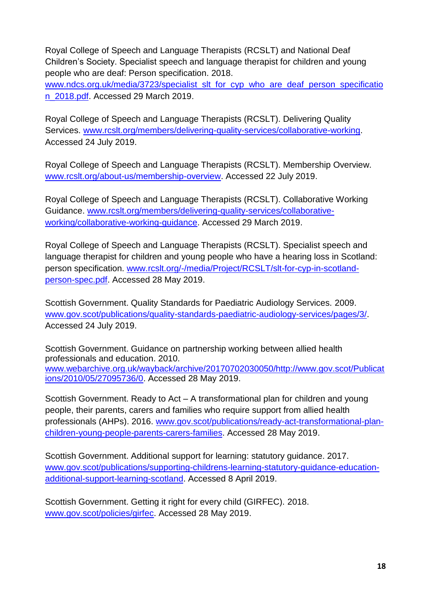Royal College of Speech and Language Therapists (RCSLT) and National Deaf Children's Society. Specialist speech and language therapist for children and young people who are deaf: Person specification. 2018.

[www.ndcs.org.uk/media/3723/specialist\\_slt\\_for\\_cyp\\_who\\_are\\_deaf\\_person\\_specificatio](http://www.ndcs.org.uk/media/3723/specialist_slt_for_cyp_who_are_deaf_person_specification_2018.pdf) [n\\_2018.pdf.](http://www.ndcs.org.uk/media/3723/specialist_slt_for_cyp_who_are_deaf_person_specification_2018.pdf) Accessed 29 March 2019.

Royal College of Speech and Language Therapists (RCSLT). Delivering Quality Services. [www.rcslt.org/members/delivering-quality-services/collaborative-working.](http://www.rcslt.org/members/delivering-quality-services/collaborative-working) Accessed 24 July 2019.

Royal College of Speech and Language Therapists (RCSLT). Membership Overview. [www.rcslt.org/about-us/membership-overview.](http://www.rcslt.org/about-us/membership-overview) Accessed 22 July 2019.

Royal College of Speech and Language Therapists (RCSLT). Collaborative Working Guidance. [www.rcslt.org/members/delivering-quality-services/collaborative](http://www.rcslt.org/members/delivering-quality-services/collaborative-working/collaborative-working-guidance)[working/collaborative-working-guidance.](http://www.rcslt.org/members/delivering-quality-services/collaborative-working/collaborative-working-guidance) Accessed 29 March 2019.

Royal College of Speech and Language Therapists (RCSLT). Specialist speech and language therapist for children and young people who have a hearing loss in Scotland: person specification. [www.rcslt.org/-/media/Project/RCSLT/slt-for-cyp-in-scotland](http://www.rcslt.org/-/media/Project/RCSLT/slt-for-cyp-in-scotland-person-spec.pdf)[person-spec.pdf.](http://www.rcslt.org/-/media/Project/RCSLT/slt-for-cyp-in-scotland-person-spec.pdf) Accessed 28 May 2019.

Scottish Government. Quality Standards for Paediatric Audiology Services. 2009. [www.gov.scot/publications/quality-standards-paediatric-audiology-services/pages/3/.](http://www.gov.scot/publications/quality-standards-paediatric-audiology-services/pages/3/) Accessed 24 July 2019.

Scottish Government. Guidance on partnership working between allied health professionals and education. 2010. [www.webarchive.org.uk/wayback/archive/20170702030050/http://www.gov.scot/Publicat](http://www.webarchive.org.uk/wayback/archive/20170702030050/http:/www.gov.scot/Publications/2010/05/27095736/0) [ions/2010/05/27095736/0.](http://www.webarchive.org.uk/wayback/archive/20170702030050/http:/www.gov.scot/Publications/2010/05/27095736/0) Accessed 28 May 2019.

Scottish Government. Ready to Act – A transformational plan for children and young people, their parents, carers and families who require support from allied health professionals (AHPs). 2016. [www.gov.scot/publications/ready-act-transformational-plan](http://www.gov.scot/publications/ready-act-transformational-plan-children-young-people-parents-carers-families/)[children-young-people-parents-carers-families.](http://www.gov.scot/publications/ready-act-transformational-plan-children-young-people-parents-carers-families/) Accessed 28 May 2019.

Scottish Government. Additional support for learning: statutory guidance. 2017. [www.gov.scot/publications/supporting-childrens-learning-statutory-guidance-education](http://www.gov.scot/publications/supporting-childrens-learning-statutory-guidance-education-additional-support-learning-scotland/)[additional-support-learning-scotland.](http://www.gov.scot/publications/supporting-childrens-learning-statutory-guidance-education-additional-support-learning-scotland/) Accessed 8 April 2019.

Scottish Government. Getting it right for every child (GIRFEC). 2018. www.gov.scot/policies/girfec. Accessed 28 May 2019.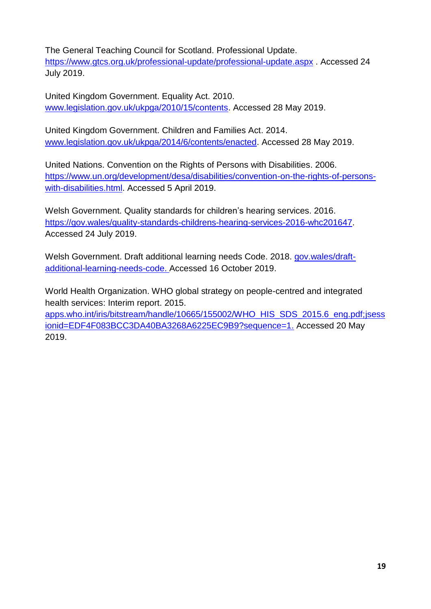The General Teaching Council for Scotland. Professional Update. <https://www.gtcs.org.uk/professional-update/professional-update.aspx> . Accessed 24 July 2019.

United Kingdom Government. Equality Act. 2010. [www.legislation.gov.uk/ukpga/2010/15/contents.](http://www.legislation.gov.uk/ukpga/2010/15/contents) Accessed 28 May 2019.

United Kingdom Government. Children and Families Act. 2014. [www.legislation.gov.uk/ukpga/2014/6/contents/enacted.](http://www.legislation.gov.uk/ukpga/2014/6/contents/enacted) Accessed 28 May 2019.

United Nations. Convention on the Rights of Persons with Disabilities. 2006. [https://www.un.org/development/desa/disabilities/convention-on-the-rights-of-persons](https://www.un.org/development/desa/disabilities/convention-on-the-rights-of-persons-with-disabilities.html)[with-disabilities.html.](https://www.un.org/development/desa/disabilities/convention-on-the-rights-of-persons-with-disabilities.html) Accessed 5 April 2019.

Welsh Government. Quality standards for children's hearing services. 2016. [https://gov.wales/quality-standards-childrens-hearing-services-2016-whc201647.](https://gov.wales/quality-standards-childrens-hearing-services-2016-whc201647) Accessed 24 July 2019.

Welsh Government. Draft additional learning needs Code. 2018. [gov.wales/draft](https://gov.wales/draft-additional-learning-needs-code)[additional-learning-needs-code.](https://gov.wales/draft-additional-learning-needs-code) Accessed 16 October 2019.

World Health Organization. WHO global strategy on people-centred and integrated health services: Interim report. 2015.

[apps.who.int/iris/bitstream/handle/10665/155002/WHO\\_HIS\\_SDS\\_2015.6\\_eng.pdf;jsess](https://apps.who.int/iris/bitstream/handle/10665/155002/WHO_HIS_SDS_2015.6_eng.pdf;jsessionid=EDF4F083BCC3DA40BA3268A6225EC9B9?sequence=1) [ionid=EDF4F083BCC3DA40BA3268A6225EC9B9?sequence=1.](https://apps.who.int/iris/bitstream/handle/10665/155002/WHO_HIS_SDS_2015.6_eng.pdf;jsessionid=EDF4F083BCC3DA40BA3268A6225EC9B9?sequence=1) Accessed 20 May 2019.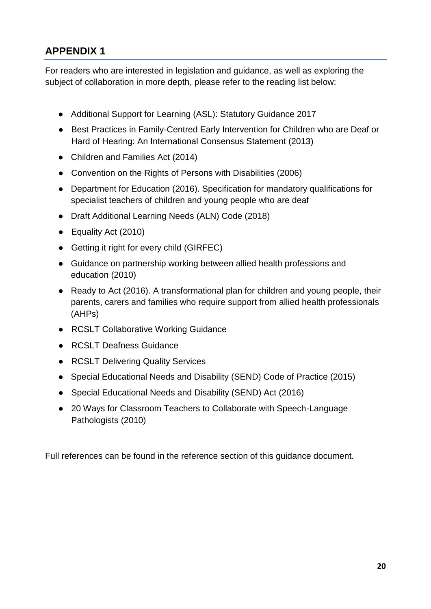## <span id="page-20-0"></span>**APPENDIX 1**

For readers who are interested in legislation and guidance, as well as exploring the subject of collaboration in more depth, please refer to the reading list below:

- Additional Support for Learning (ASL): Statutory Guidance 2017
- Best Practices in Family-Centred Early Intervention for Children who are Deaf or Hard of Hearing: An International Consensus Statement (2013)
- Children and Families Act (2014)
- Convention on the Rights of Persons with Disabilities (2006)
- Department for Education (2016). Specification for mandatory qualifications for specialist teachers of children and young people who are deaf
- Draft Additional Learning Needs (ALN) Code (2018)
- Equality Act (2010)
- Getting it right for every child (GIRFEC)
- Guidance on partnership working between allied health professions and education (2010)
- Ready to Act (2016). A transformational plan for children and young people, their parents, carers and families who require support from allied health professionals (AHPs)
- RCSLT Collaborative Working Guidance
- RCSLT Deafness Guidance
- RCSLT Delivering Quality Services
- Special Educational Needs and Disability (SEND) Code of Practice (2015)
- Special Educational Needs and Disability (SEND) Act (2016)
- 20 Ways for Classroom Teachers to Collaborate with Speech-Language Pathologists (2010)

Full references can be found in the reference section of this guidance document.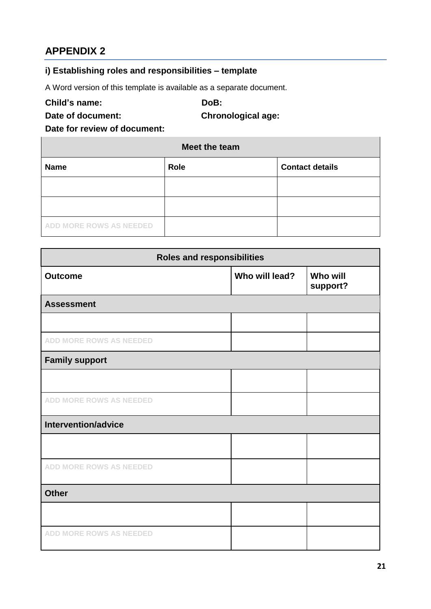## <span id="page-21-0"></span>**APPENDIX 2**

## <span id="page-21-1"></span>**i) Establishing roles and responsibilities – template**

A Word version of this template is available as a separate document.

**Child's name: DoB:**

**Date of document: Chronological age:**

**Date for review of document:**

| Meet the team                  |             |                        |
|--------------------------------|-------------|------------------------|
| <b>Name</b>                    | <b>Role</b> | <b>Contact details</b> |
|                                |             |                        |
|                                |             |                        |
| <b>ADD MORE ROWS AS NEEDED</b> |             |                        |

| <b>Roles and responsibilities</b> |                |                             |
|-----------------------------------|----------------|-----------------------------|
| <b>Outcome</b>                    | Who will lead? | <b>Who will</b><br>support? |
| <b>Assessment</b>                 |                |                             |
|                                   |                |                             |
| <b>ADD MORE ROWS AS NEEDED</b>    |                |                             |
| <b>Family support</b>             |                |                             |
|                                   |                |                             |
| <b>ADD MORE ROWS AS NEEDED</b>    |                |                             |
| Intervention/advice               |                |                             |
|                                   |                |                             |
| <b>ADD MORE ROWS AS NEEDED</b>    |                |                             |
| <b>Other</b>                      |                |                             |
|                                   |                |                             |
| <b>ADD MORE ROWS AS NEEDED</b>    |                |                             |

 $\overline{\phantom{0}}$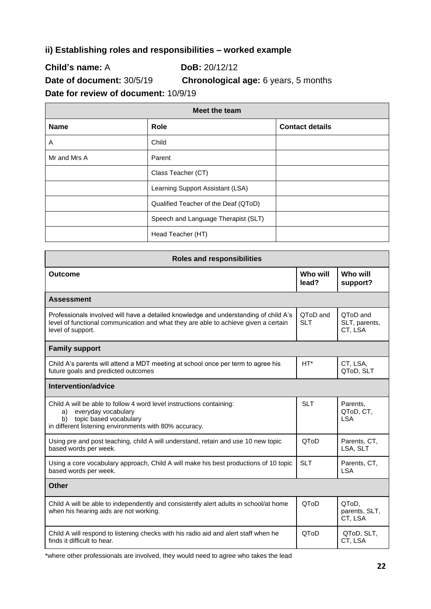#### <span id="page-22-0"></span>**ii) Establishing roles and responsibilities – worked example**

**Child's name:** A **DoB:** 20/12/12

**Date of document:** 30/5/19 **Chronological age:** 6 years, 5 months

**Date for review of document:** 10/9/19

| Meet the team |                                      |                        |
|---------------|--------------------------------------|------------------------|
| <b>Name</b>   | Role                                 | <b>Contact details</b> |
| Α             | Child                                |                        |
| Mr and Mrs A  | Parent                               |                        |
|               | Class Teacher (CT)                   |                        |
|               | Learning Support Assistant (LSA)     |                        |
|               | Qualified Teacher of the Deaf (QToD) |                        |
|               | Speech and Language Therapist (SLT)  |                        |
|               | Head Teacher (HT)                    |                        |

| <b>Roles and responsibilities</b>                                                                                                                                                                |                        |                                      |
|--------------------------------------------------------------------------------------------------------------------------------------------------------------------------------------------------|------------------------|--------------------------------------|
| <b>Outcome</b>                                                                                                                                                                                   | Who will<br>lead?      | Who will<br>support?                 |
| <b>Assessment</b>                                                                                                                                                                                |                        |                                      |
| Professionals involved will have a detailed knowledge and understanding of child A's<br>level of functional communication and what they are able to achieve given a certain<br>level of support. | QToD and<br><b>SLT</b> | QToD and<br>SLT, parents,<br>CT, LSA |
| <b>Family support</b>                                                                                                                                                                            |                        |                                      |
| Child A's parents will attend a MDT meeting at school once per term to agree his<br>future goals and predicted outcomes                                                                          | $HT^*$                 | CT, LSA,<br>QToD, SLT                |
| Intervention/advice                                                                                                                                                                              |                        |                                      |
| Child A will be able to follow 4 word level instructions containing:<br>everyday vocabulary<br>a)<br>topic based vocabulary<br>b)<br>in different listening environments with 80% accuracy.      | <b>SLT</b>             | Parents.<br>QToD, CT,<br><b>LSA</b>  |
| Using pre and post teaching, child A will understand, retain and use 10 new topic<br>based words per week.                                                                                       | QToD                   | Parents, CT,<br>LSA, SLT             |
| Using a core vocabulary approach, Child A will make his best productions of 10 topic<br>based words per week.                                                                                    | <b>SLT</b>             | Parents, CT,<br><b>LSA</b>           |
| <b>Other</b>                                                                                                                                                                                     |                        |                                      |
| Child A will be able to independently and consistently alert adults in school/at home<br>when his hearing aids are not working.                                                                  | QToD                   | QToD,<br>parents, SLT,<br>CT, LSA    |
| Child A will respond to listening checks with his radio aid and alert staff when he<br>finds it difficult to hear.                                                                               | QToD                   | QToD, SLT,<br>CT, LSA                |

\*where other professionals are involved, they would need to agree who takes the lead